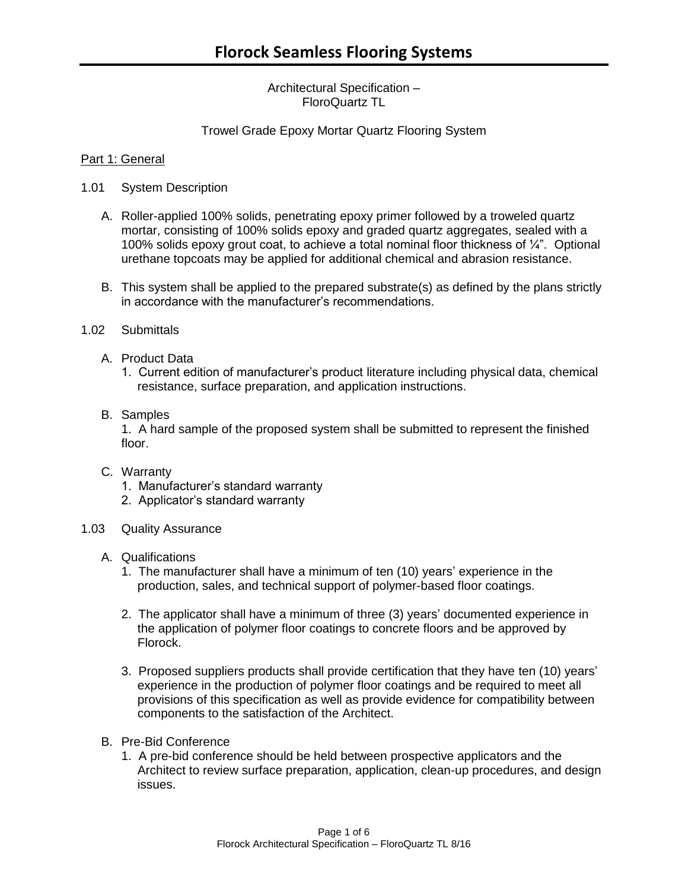Architectural Specification – FloroQuartz TL

## Trowel Grade Epoxy Mortar Quartz Flooring System

### Part 1: General

- 1.01 System Description
	- A. Roller-applied 100% solids, penetrating epoxy primer followed by a troweled quartz mortar, consisting of 100% solids epoxy and graded quartz aggregates, sealed with a 100% solids epoxy grout coat, to achieve a total nominal floor thickness of ¼". Optional urethane topcoats may be applied for additional chemical and abrasion resistance.
	- B. This system shall be applied to the prepared substrate(s) as defined by the plans strictly in accordance with the manufacturer's recommendations.
- 1.02 Submittals
	- A. Product Data
		- 1. Current edition of manufacturer's product literature including physical data, chemical resistance, surface preparation, and application instructions.
	- B. Samples

1. A hard sample of the proposed system shall be submitted to represent the finished floor.

- C. Warranty
	- 1. Manufacturer's standard warranty
	- 2. Applicator's standard warranty
- 1.03 Quality Assurance
	- A. Qualifications
		- 1. The manufacturer shall have a minimum of ten (10) years' experience in the production, sales, and technical support of polymer-based floor coatings.
		- 2. The applicator shall have a minimum of three (3) years' documented experience in the application of polymer floor coatings to concrete floors and be approved by Florock.
		- 3. Proposed suppliers products shall provide certification that they have ten (10) years' experience in the production of polymer floor coatings and be required to meet all provisions of this specification as well as provide evidence for compatibility between components to the satisfaction of the Architect.
	- B. Pre-Bid Conference
		- 1. A pre-bid conference should be held between prospective applicators and the Architect to review surface preparation, application, clean-up procedures, and design issues.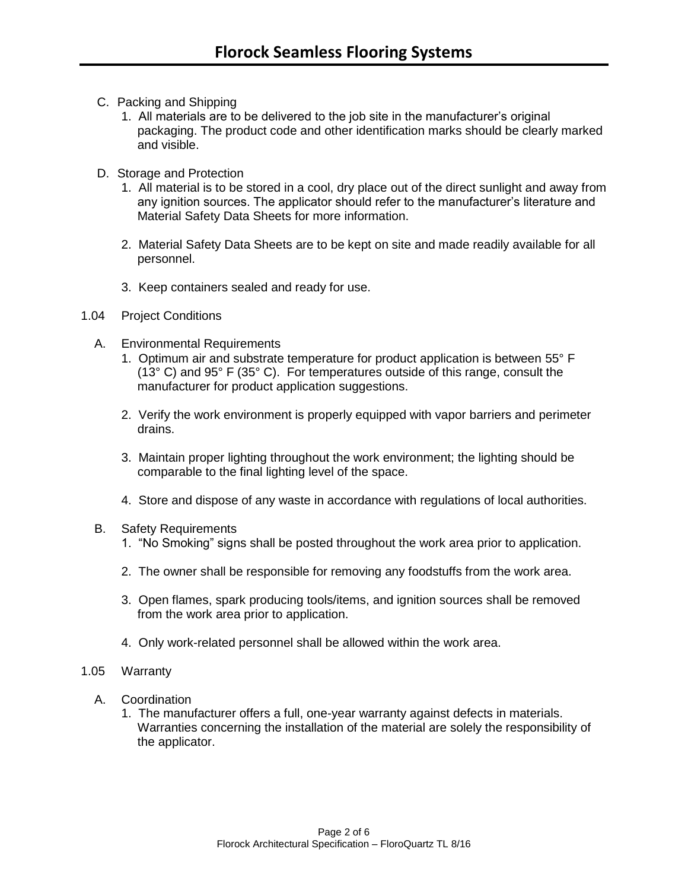- C. Packing and Shipping
	- 1. All materials are to be delivered to the job site in the manufacturer's original packaging. The product code and other identification marks should be clearly marked and visible.
- D. Storage and Protection
	- 1. All material is to be stored in a cool, dry place out of the direct sunlight and away from any ignition sources. The applicator should refer to the manufacturer's literature and Material Safety Data Sheets for more information.
	- 2. Material Safety Data Sheets are to be kept on site and made readily available for all personnel.
	- 3. Keep containers sealed and ready for use.
- 1.04 Project Conditions
	- A. Environmental Requirements
		- 1. Optimum air and substrate temperature for product application is between 55° F (13° C) and 95° F (35° C). For temperatures outside of this range, consult the manufacturer for product application suggestions.
		- 2. Verify the work environment is properly equipped with vapor barriers and perimeter drains.
		- 3. Maintain proper lighting throughout the work environment; the lighting should be comparable to the final lighting level of the space.
		- 4. Store and dispose of any waste in accordance with regulations of local authorities.
	- B. Safety Requirements
		- 1. "No Smoking" signs shall be posted throughout the work area prior to application.
		- 2. The owner shall be responsible for removing any foodstuffs from the work area.
		- 3. Open flames, spark producing tools/items, and ignition sources shall be removed from the work area prior to application.
		- 4. Only work-related personnel shall be allowed within the work area.
- 1.05 Warranty
	- A. Coordination
		- 1. The manufacturer offers a full, one-year warranty against defects in materials. Warranties concerning the installation of the material are solely the responsibility of the applicator.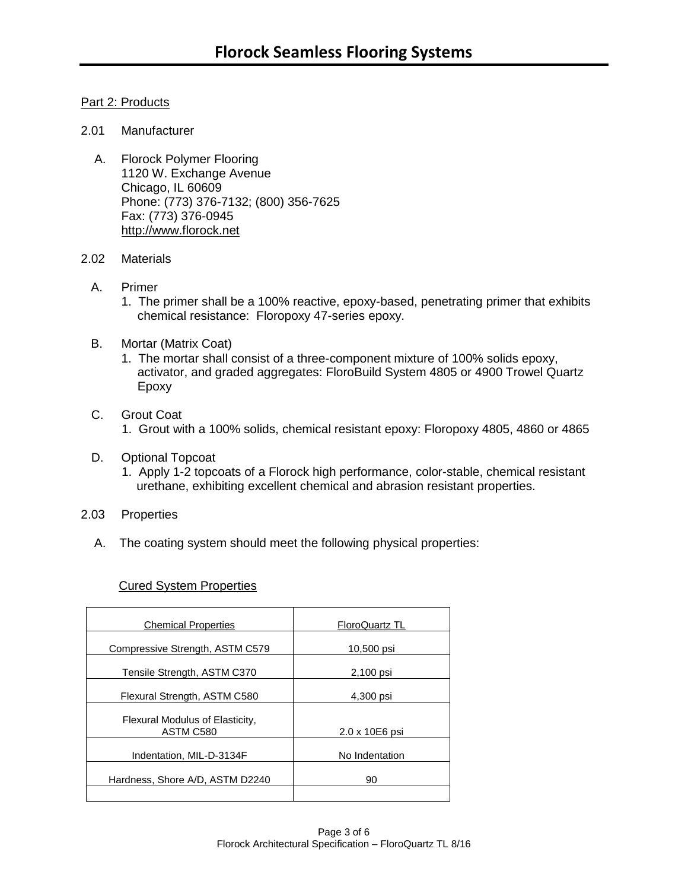# Part 2: Products

#### 2.01 Manufacturer

A. Florock Polymer Flooring 1120 W. Exchange Avenue Chicago, IL 60609 Phone: (773) 376-7132; (800) 356-7625 Fax: (773) 376-0945 [http://www.florock.net](http://www.florock.net/)

#### 2.02 Materials

- A. Primer
	- 1. The primer shall be a 100% reactive, epoxy-based, penetrating primer that exhibits chemical resistance: Floropoxy 47-series epoxy.
- B. Mortar (Matrix Coat)
	- 1. The mortar shall consist of a three-component mixture of 100% solids epoxy, activator, and graded aggregates: FloroBuild System 4805 or 4900 Trowel Quartz Epoxy
- C. Grout Coat 1. Grout with a 100% solids, chemical resistant epoxy: Floropoxy 4805, 4860 or 4865
- D. Optional Topcoat
	- 1. Apply 1-2 topcoats of a Florock high performance, color-stable, chemical resistant urethane, exhibiting excellent chemical and abrasion resistant properties.
- 2.03 Properties
	- A. The coating system should meet the following physical properties:

#### Cured System Properties

| <b>Chemical Properties</b>                   | FloroQuartz TL |
|----------------------------------------------|----------------|
| Compressive Strength, ASTM C579              | 10,500 psi     |
| Tensile Strength, ASTM C370                  | 2,100 psi      |
| Flexural Strength, ASTM C580                 | 4,300 psi      |
| Flexural Modulus of Elasticity,<br>ASTM C580 | 2.0 x 10E6 psi |
| Indentation, MIL-D-3134F                     | No Indentation |
| Hardness, Shore A/D, ASTM D2240              | 90             |
|                                              |                |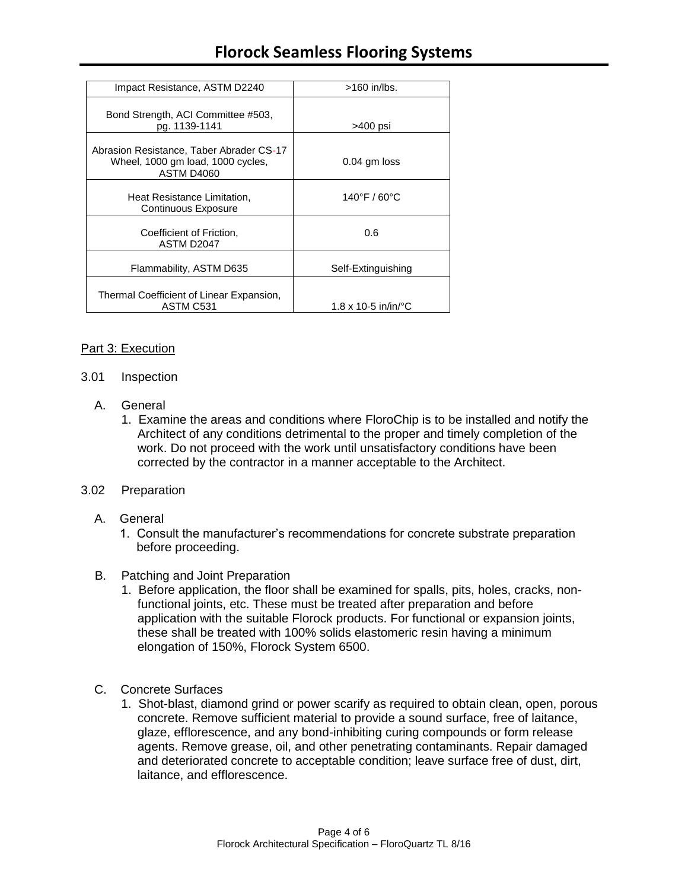| Impact Resistance, ASTM D2240                                                               | $>160$ in/lbs.                          |
|---------------------------------------------------------------------------------------------|-----------------------------------------|
| Bond Strength, ACI Committee #503,<br>pg. 1139-1141                                         | >400 psi                                |
| Abrasion Resistance, Taber Abrader CS-17<br>Wheel, 1000 gm load, 1000 cycles,<br>ASTM D4060 | $0.04$ gm loss                          |
| Heat Resistance Limitation,<br>Continuous Exposure                                          | 140°F / 60°C                            |
| Coefficient of Friction,<br>ASTM D2047                                                      | 0.6                                     |
| Flammability, ASTM D635                                                                     | Self-Extinguishing                      |
| Thermal Coefficient of Linear Expansion,<br>ASTM C531                                       | $1.8 \times 10 - 5$ in/in/ $^{\circ}$ C |

#### Part 3: Execution

#### 3.01 Inspection

- A. General
	- 1. Examine the areas and conditions where FloroChip is to be installed and notify the Architect of any conditions detrimental to the proper and timely completion of the work. Do not proceed with the work until unsatisfactory conditions have been corrected by the contractor in a manner acceptable to the Architect.
- 3.02 Preparation
	- A. General
		- 1. Consult the manufacturer's recommendations for concrete substrate preparation before proceeding.
	- B. Patching and Joint Preparation
		- 1. Before application, the floor shall be examined for spalls, pits, holes, cracks, nonfunctional joints, etc. These must be treated after preparation and before application with the suitable Florock products. For functional or expansion joints, these shall be treated with 100% solids elastomeric resin having a minimum elongation of 150%, Florock System 6500.
	- C. Concrete Surfaces
		- 1. Shot-blast, diamond grind or power scarify as required to obtain clean, open, porous concrete. Remove sufficient material to provide a sound surface, free of laitance, glaze, efflorescence, and any bond-inhibiting curing compounds or form release agents. Remove grease, oil, and other penetrating contaminants. Repair damaged and deteriorated concrete to acceptable condition; leave surface free of dust, dirt, laitance, and efflorescence.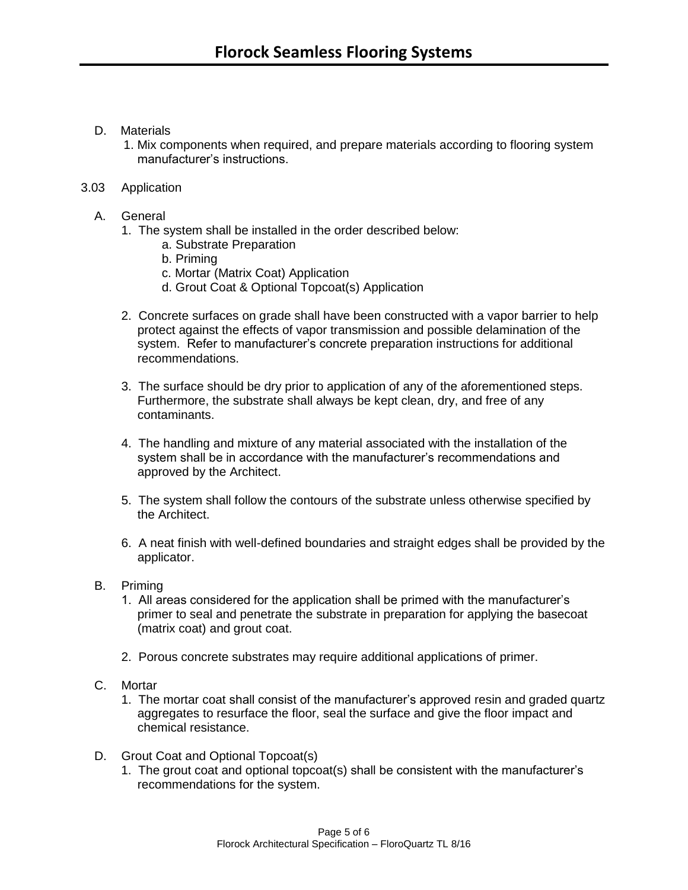# D. Materials

 1. Mix components when required, and prepare materials according to flooring system manufacturer's instructions.

## 3.03 Application

- A. General
	- 1. The system shall be installed in the order described below:
		- a. Substrate Preparation
		- b. Priming
		- c. Mortar (Matrix Coat) Application
		- d. Grout Coat & Optional Topcoat(s) Application
	- 2. Concrete surfaces on grade shall have been constructed with a vapor barrier to help protect against the effects of vapor transmission and possible delamination of the system. Refer to manufacturer's concrete preparation instructions for additional recommendations.
	- 3. The surface should be dry prior to application of any of the aforementioned steps. Furthermore, the substrate shall always be kept clean, dry, and free of any contaminants.
	- 4. The handling and mixture of any material associated with the installation of the system shall be in accordance with the manufacturer's recommendations and approved by the Architect.
	- 5. The system shall follow the contours of the substrate unless otherwise specified by the Architect.
	- 6. A neat finish with well-defined boundaries and straight edges shall be provided by the applicator.
- B. Priming
	- 1. All areas considered for the application shall be primed with the manufacturer's primer to seal and penetrate the substrate in preparation for applying the basecoat (matrix coat) and grout coat.
	- 2. Porous concrete substrates may require additional applications of primer.
- C. Mortar
	- 1. The mortar coat shall consist of the manufacturer's approved resin and graded quartz aggregates to resurface the floor, seal the surface and give the floor impact and chemical resistance.
- D. Grout Coat and Optional Topcoat(s)
	- 1. The grout coat and optional topcoat(s) shall be consistent with the manufacturer's recommendations for the system.